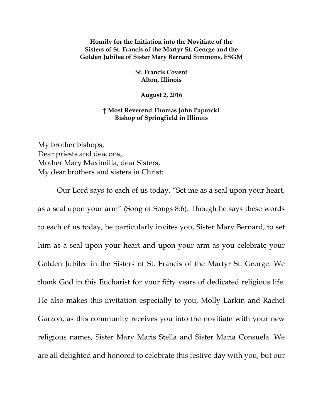## **Homily for the Initiation into the Novitiate of the Sisters of St. Francis of the Martyr St. George and the Golden Jubilee of Sister Mary Bernard Simmons, FSGM**

**St. Francis Covent Alton, Illinois**

**August 2, 2016**

## **† Most Reverend Thomas John Paprocki Bishop of Springfield in Illinois**

My brother bishops, Dear priests and deacons, Mother Mary Maximilia, dear Sisters, My dear brothers and sisters in Christ:

Our Lord says to each of us today, "Set me as a seal upon your heart, as a seal upon your arm" (Song of Songs 8:6). Though he says these words to each of us today, he particularly invites you, Sister Mary Bernard, to set him as a seal upon your heart and upon your arm as you celebrate your Golden Jubilee in the Sisters of St. Francis of the Martyr St. George. We thank God in this Eucharist for your fifty years of dedicated religious life. He also makes this invitation especially to you, Molly Larkin and Rachel Garzon, as this community receives you into the novitiate with your new religious names, Sister Mary Maris Stella and Sister Maria Consuela. We are all delighted and honored to celebrate this festive day with you, but our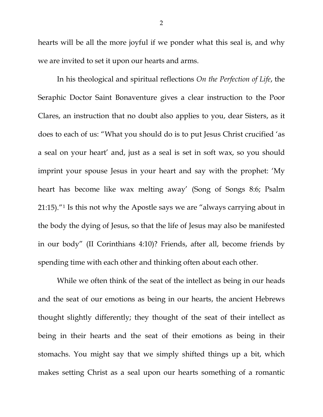hearts will be all the more joyful if we ponder what this seal is, and why we are invited to set it upon our hearts and arms.

In his theological and spiritual reflections *On the Perfection of Life*, the Seraphic Doctor Saint Bonaventure gives a clear instruction to the Poor Clares, an instruction that no doubt also applies to you, dear Sisters, as it does to each of us: "What you should do is to put Jesus Christ crucified 'as a seal on your heart' and, just as a seal is set in soft wax, so you should imprint your spouse Jesus in your heart and say with the prophet: 'My heart has become like wax melting away' (Song of Songs 8:6; Psalm 21:15)."[1](#page-2-0) Is this not why the Apostle says we are "always carrying about in the body the dying of Jesus, so that the life of Jesus may also be manifested in our body" (II Corinthians 4:10)? Friends, after all, become friends by spending time with each other and thinking often about each other.

While we often think of the seat of the intellect as being in our heads and the seat of our emotions as being in our hearts, the ancient Hebrews thought slightly differently; they thought of the seat of their intellect as being in their hearts and the seat of their emotions as being in their stomachs. You might say that we simply shifted things up a bit, which makes setting Christ as a seal upon our hearts something of a romantic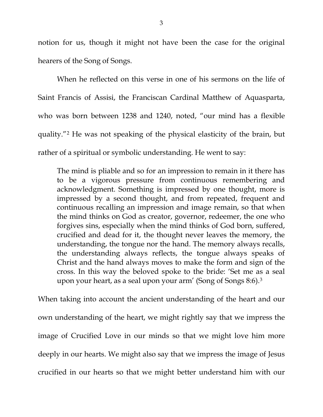<span id="page-2-0"></span>notion for us, though it might not have been the case for the original hearers of the Song of Songs.

<span id="page-2-3"></span><span id="page-2-2"></span><span id="page-2-1"></span>When he reflected on this verse in one of his sermons on the life of Saint Francis of Assisi, the Franciscan Cardinal Matthew of Aquasparta, who was born between 1238 and 1240, noted, "our mind has a flexible quality."[2](#page-2-1) He was not speaking of the physical elasticity of the brain, but rather of a spiritual or symbolic understanding. He went to say:

<span id="page-2-4"></span>The mind is pliable and so for an impression to remain in it there has to be a vigorous pressure from continuous remembering and acknowledgment. Something is impressed by one thought, more is impressed by a second thought, and from repeated, frequent and continuous recalling an impression and image remain, so that when the mind thinks on God as creator, governor, redeemer, the one who forgives sins, especially when the mind thinks of God born, suffered, crucified and dead for it, the thought never leaves the memory, the understanding, the tongue nor the hand. The memory always recalls, the understanding always reflects, the tongue always speaks of Christ and the hand always moves to make the form and sign of the cross. In this way the beloved spoke to the bride: 'Set me as a seal upon your heart, as a seal upon your arm' (Song of Songs 8:6).[3](#page-2-2)

When taking into account the ancient understanding of the heart and our own understanding of the heart, we might rightly say that we impress the image of Crucified Love in our minds so that we might love him more deeply in our hearts. We might also say that we impress the image of Jesus crucified in our hearts so that we might better understand him with our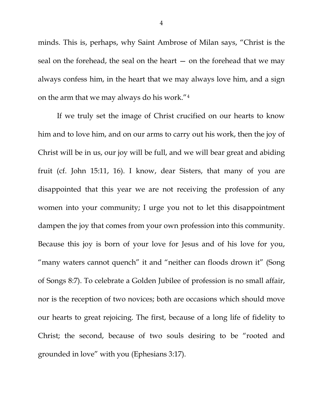minds. This is, perhaps, why Saint Ambrose of Milan says, "Christ is the seal on the forehead, the seal on the heart  $-$  on the forehead that we may always confess him, in the heart that we may always love him, and a sign on the arm that we may always do his work."[4](#page-2-3)

If we truly set the image of Christ crucified on our hearts to know him and to love him, and on our arms to carry out his work, then the joy of Christ will be in us, our joy will be full, and we will bear great and abiding fruit (cf. John 15:11, 16). I know, dear Sisters, that many of you are disappointed that this year we are not receiving the profession of any women into your community; I urge you not to let this disappointment dampen the joy that comes from your own profession into this community. Because this joy is born of your love for Jesus and of his love for you, "many waters cannot quench" it and "neither can floods drown it" (Song of Songs 8:7). To celebrate a Golden Jubilee of profession is no small affair, nor is the reception of two novices; both are occasions which should move our hearts to great rejoicing. The first, because of a long life of fidelity to Christ; the second, because of two souls desiring to be "rooted and grounded in love" with you (Ephesians 3:17).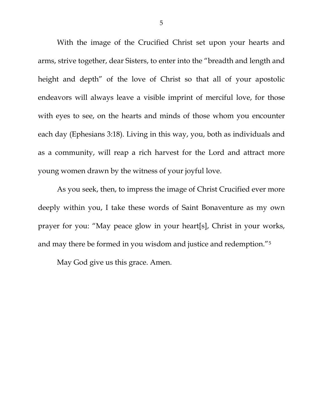With the image of the Crucified Christ set upon your hearts and arms, strive together, dear Sisters, to enter into the "breadth and length and height and depth" of the love of Christ so that all of your apostolic endeavors will always leave a visible imprint of merciful love, for those with eyes to see, on the hearts and minds of those whom you encounter each day (Ephesians 3:18). Living in this way, you, both as individuals and as a community, will reap a rich harvest for the Lord and attract more young women drawn by the witness of your joyful love.

As you seek, then, to impress the image of Christ Crucified ever more deeply within you, I take these words of Saint Bonaventure as my own prayer for you: "May peace glow in your heart[s], Christ in your works, and may there be formed in you wisdom and justice and redemption."[5](#page-2-4)

May God give us this grace. Amen.